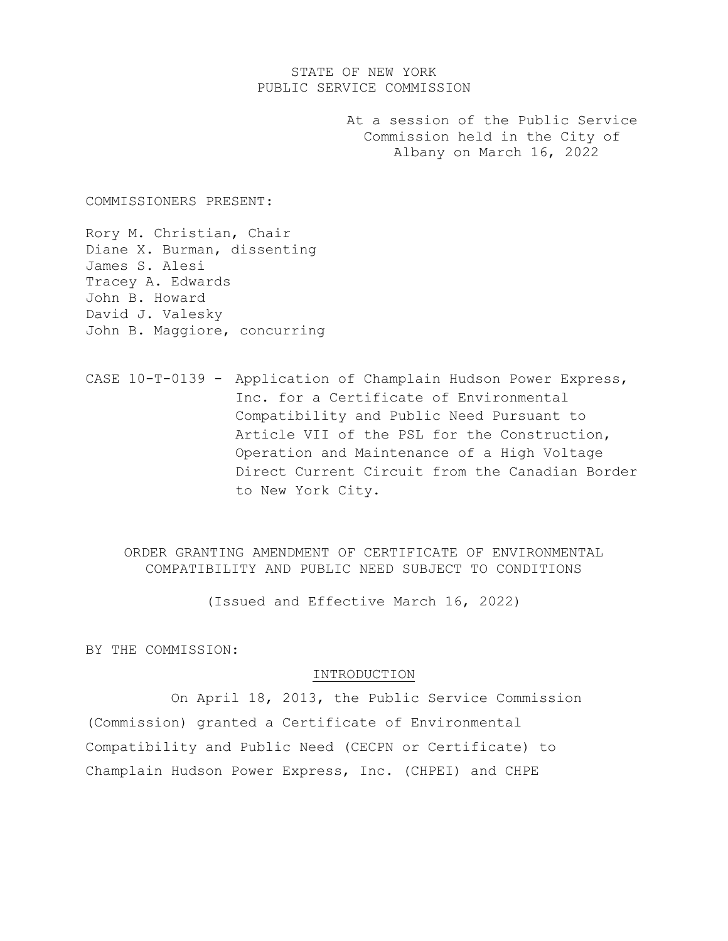# STATE OF NEW YORK PUBLIC SERVICE COMMISSION

At a session of the Public Service Commission held in the City of Albany on March 16, 2022

COMMISSIONERS PRESENT:

Rory M. Christian, Chair Diane X. Burman, dissenting James S. Alesi Tracey A. Edwards John B. Howard David J. Valesky John B. Maggiore, concurring

CASE 10-T-0139 - Application of Champlain Hudson Power Express, Inc. for a Certificate of Environmental Compatibility and Public Need Pursuant to Article VII of the PSL for the Construction, Operation and Maintenance of a High Voltage Direct Current Circuit from the Canadian Border to New York City.

ORDER GRANTING AMENDMENT OF CERTIFICATE OF ENVIRONMENTAL COMPATIBILITY AND PUBLIC NEED SUBJECT TO CONDITIONS

(Issued and Effective March 16, 2022)

BY THE COMMISSION:

#### INTRODUCTION

On April 18, 2013, the Public Service Commission (Commission) granted a Certificate of Environmental Compatibility and Public Need (CECPN or Certificate) to Champlain Hudson Power Express, Inc. (CHPEI) and CHPE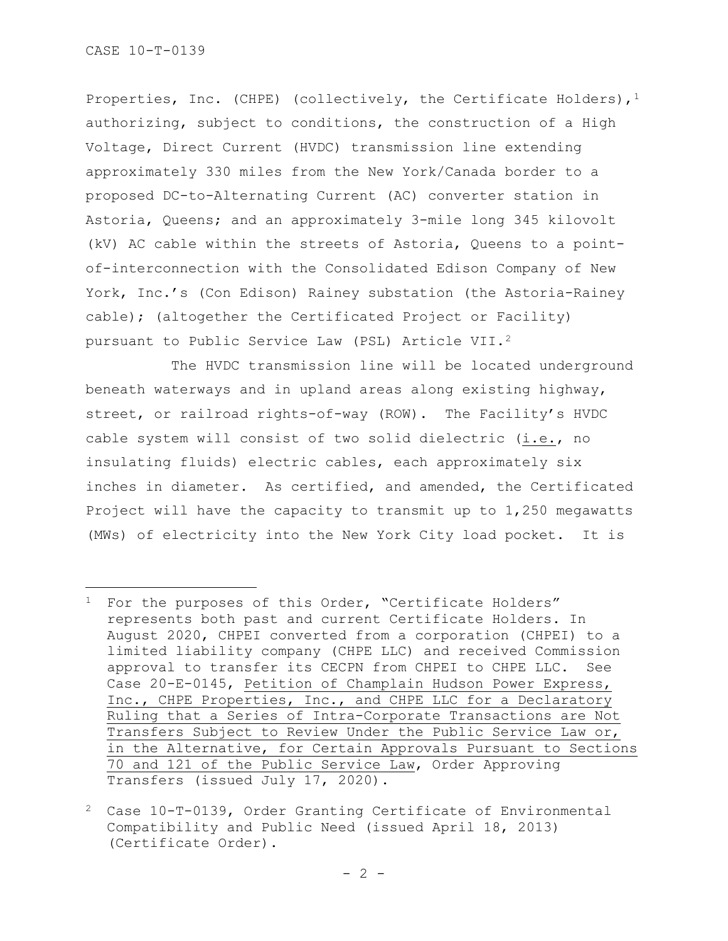Properties, Inc. (CHPE) (collectively, the Certificate Holders),  $1$ authorizing, subject to conditions, the construction of a High Voltage, Direct Current (HVDC) transmission line extending approximately 330 miles from the New York/Canada border to a proposed DC-to-Alternating Current (AC) converter station in Astoria, Queens; and an approximately 3-mile long 345 kilovolt (kV) AC cable within the streets of Astoria, Queens to a pointof-interconnection with the Consolidated Edison Company of New York, Inc.'s (Con Edison) Rainey substation (the Astoria-Rainey cable); (altogether the Certificated Project or Facility) pursuant to Public Service Law (PSL) Article VII.[2](#page-1-1)

The HVDC transmission line will be located underground beneath waterways and in upland areas along existing highway, street, or railroad rights-of-way (ROW). The Facility's HVDC cable system will consist of two solid dielectric (i.e., no insulating fluids) electric cables, each approximately six inches in diameter. As certified, and amended, the Certificated Project will have the capacity to transmit up to 1,250 megawatts (MWs) of electricity into the New York City load pocket. It is

<span id="page-1-0"></span><sup>&</sup>lt;sup>1</sup> For the purposes of this Order, "Certificate Holders" represents both past and current Certificate Holders. In August 2020, CHPEI converted from a corporation (CHPEI) to a limited liability company (CHPE LLC) and received Commission approval to transfer its CECPN from CHPEI to CHPE LLC. See Case 20-E-0145, Petition of Champlain Hudson Power Express, Inc., CHPE Properties, Inc., and CHPE LLC for a Declaratory Ruling that a Series of Intra-Corporate Transactions are Not Transfers Subject to Review Under the Public Service Law or, in the Alternative, for Certain Approvals Pursuant to Sections 70 and 121 of the Public Service Law, Order Approving Transfers (issued July 17, 2020).

<span id="page-1-1"></span><sup>2</sup> Case 10-T-0139, Order Granting Certificate of Environmental Compatibility and Public Need (issued April 18, 2013) (Certificate Order).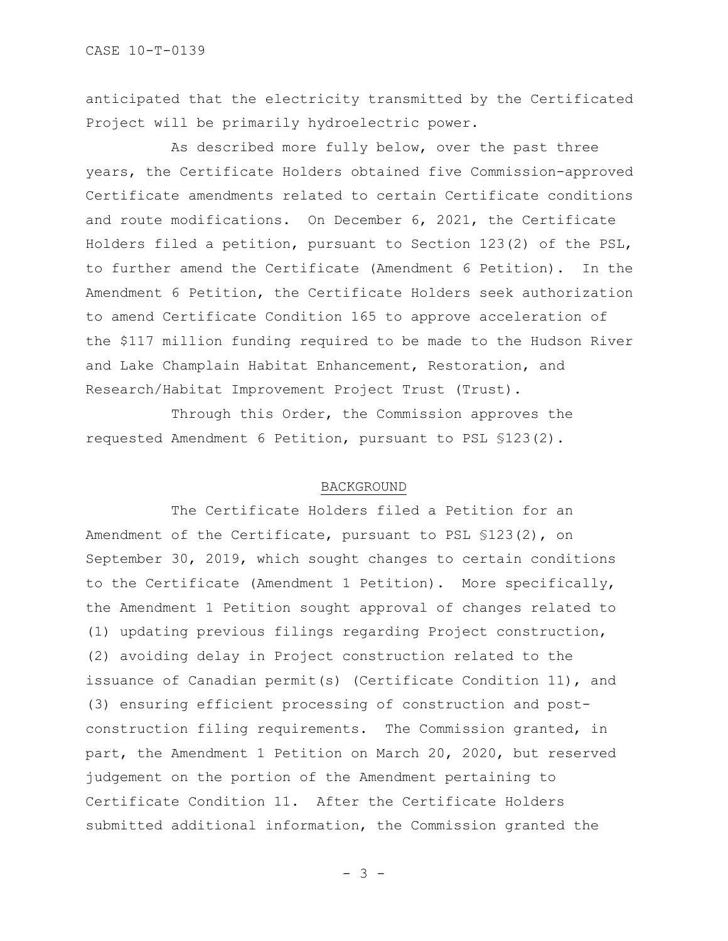anticipated that the electricity transmitted by the Certificated Project will be primarily hydroelectric power.

As described more fully below, over the past three years, the Certificate Holders obtained five Commission-approved Certificate amendments related to certain Certificate conditions and route modifications. On December 6, 2021, the Certificate Holders filed a petition, pursuant to Section 123(2) of the PSL, to further amend the Certificate (Amendment 6 Petition). In the Amendment 6 Petition, the Certificate Holders seek authorization to amend Certificate Condition 165 to approve acceleration of the \$117 million funding required to be made to the Hudson River and Lake Champlain Habitat Enhancement, Restoration, and Research/Habitat Improvement Project Trust (Trust).

Through this Order, the Commission approves the requested Amendment 6 Petition, pursuant to PSL §123(2).

#### BACKGROUND

The Certificate Holders filed a Petition for an Amendment of the Certificate, pursuant to PSL §123(2), on September 30, 2019, which sought changes to certain conditions to the Certificate (Amendment 1 Petition). More specifically, the Amendment 1 Petition sought approval of changes related to (1) updating previous filings regarding Project construction, (2) avoiding delay in Project construction related to the issuance of Canadian permit(s) (Certificate Condition 11), and (3) ensuring efficient processing of construction and postconstruction filing requirements. The Commission granted, in part, the Amendment 1 Petition on March 20, 2020, but reserved judgement on the portion of the Amendment pertaining to Certificate Condition 11. After the Certificate Holders submitted additional information, the Commission granted the

- 3 -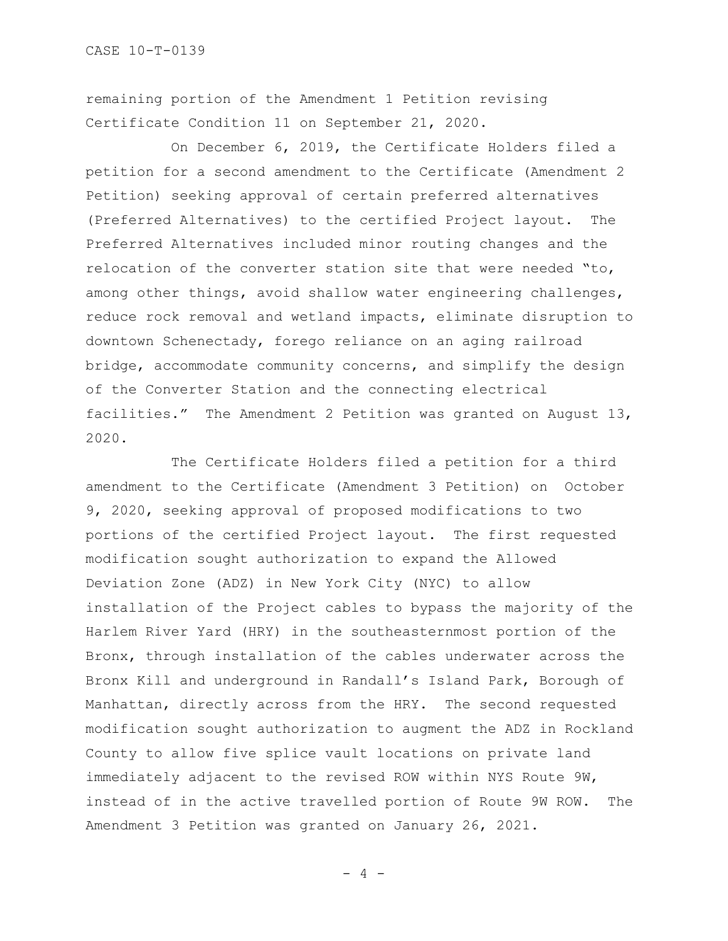remaining portion of the Amendment 1 Petition revising Certificate Condition 11 on September 21, 2020.

On December 6, 2019, the Certificate Holders filed a petition for a second amendment to the Certificate (Amendment 2 Petition) seeking approval of certain preferred alternatives (Preferred Alternatives) to the certified Project layout. The Preferred Alternatives included minor routing changes and the relocation of the converter station site that were needed "to, among other things, avoid shallow water engineering challenges, reduce rock removal and wetland impacts, eliminate disruption to downtown Schenectady, forego reliance on an aging railroad bridge, accommodate community concerns, and simplify the design of the Converter Station and the connecting electrical facilities." The Amendment 2 Petition was granted on August 13, 2020.

The Certificate Holders filed a petition for a third amendment to the Certificate (Amendment 3 Petition) on October 9, 2020, seeking approval of proposed modifications to two portions of the certified Project layout. The first requested modification sought authorization to expand the Allowed Deviation Zone (ADZ) in New York City (NYC) to allow installation of the Project cables to bypass the majority of the Harlem River Yard (HRY) in the southeasternmost portion of the Bronx, through installation of the cables underwater across the Bronx Kill and underground in Randall's Island Park, Borough of Manhattan, directly across from the HRY. The second requested modification sought authorization to augment the ADZ in Rockland County to allow five splice vault locations on private land immediately adjacent to the revised ROW within NYS Route 9W, instead of in the active travelled portion of Route 9W ROW. The Amendment 3 Petition was granted on January 26, 2021.

 $- 4 -$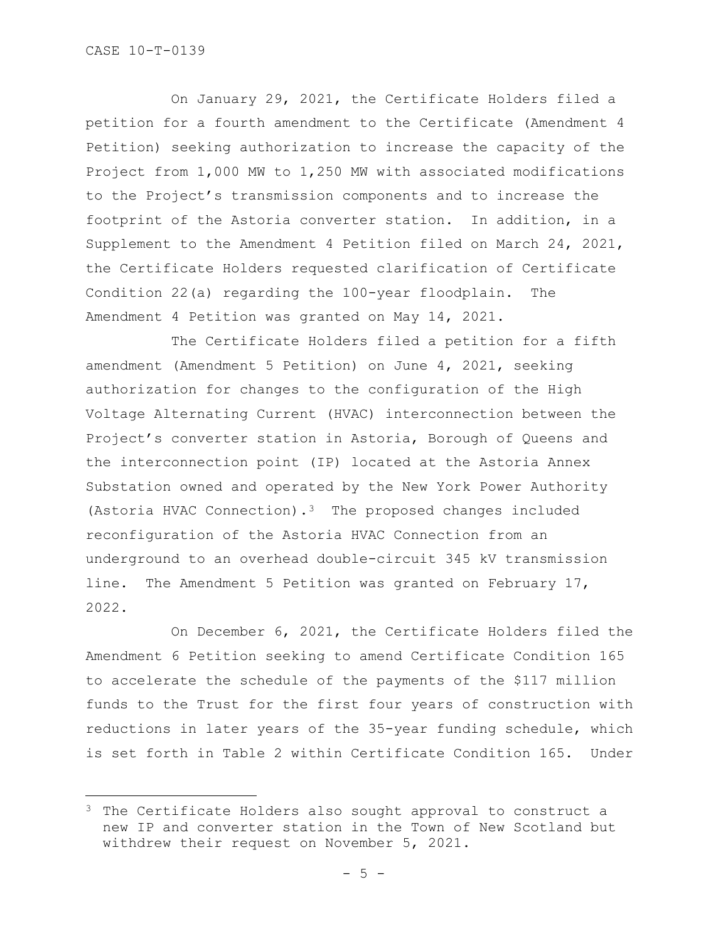On January 29, 2021, the Certificate Holders filed a petition for a fourth amendment to the Certificate (Amendment 4 Petition) seeking authorization to increase the capacity of the Project from 1,000 MW to 1,250 MW with associated modifications to the Project's transmission components and to increase the footprint of the Astoria converter station. In addition, in a Supplement to the Amendment 4 Petition filed on March 24, 2021, the Certificate Holders requested clarification of Certificate Condition 22(a) regarding the 100-year floodplain. The Amendment 4 Petition was granted on May 14, 2021.

The Certificate Holders filed a petition for a fifth amendment (Amendment 5 Petition) on June 4, 2021, seeking authorization for changes to the configuration of the High Voltage Alternating Current (HVAC) interconnection between the Project's converter station in Astoria, Borough of Queens and the interconnection point (IP) located at the Astoria Annex Substation owned and operated by the New York Power Authority (Astoria HVAC Connection).[3](#page-4-0) The proposed changes included reconfiguration of the Astoria HVAC Connection from an underground to an overhead double-circuit 345 kV transmission line. The Amendment 5 Petition was granted on February 17, 2022.

On December 6, 2021, the Certificate Holders filed the Amendment 6 Petition seeking to amend Certificate Condition 165 to accelerate the schedule of the payments of the \$117 million funds to the Trust for the first four years of construction with reductions in later years of the 35-year funding schedule, which is set forth in Table 2 within Certificate Condition 165. Under

<span id="page-4-0"></span><sup>&</sup>lt;sup>3</sup> The Certificate Holders also sought approval to construct a new IP and converter station in the Town of New Scotland but withdrew their request on November 5, 2021.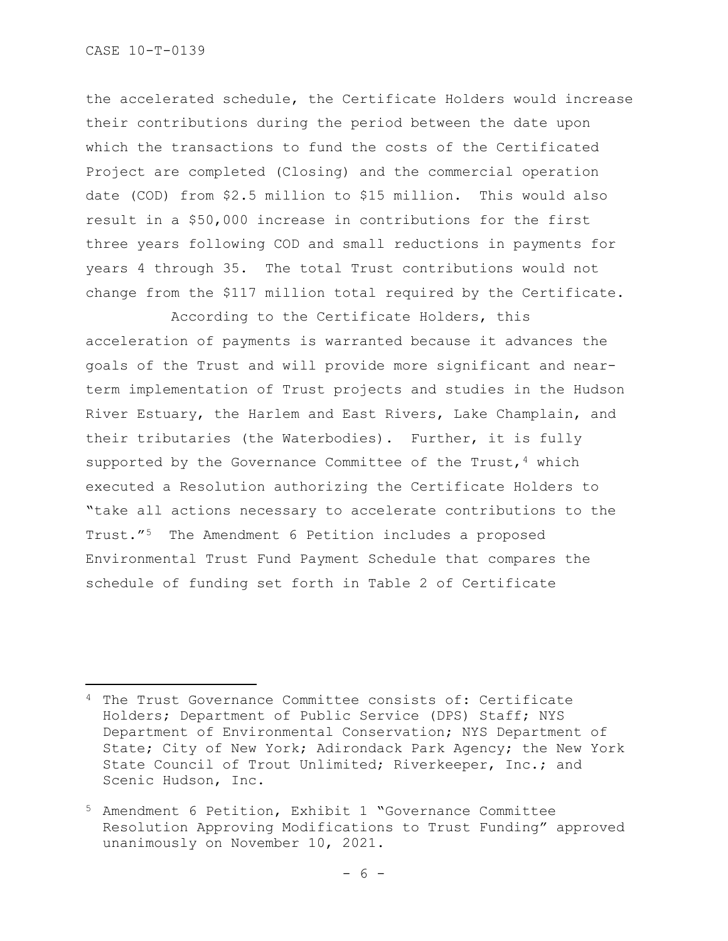the accelerated schedule, the Certificate Holders would increase their contributions during the period between the date upon which the transactions to fund the costs of the Certificated Project are completed (Closing) and the commercial operation date (COD) from \$2.5 million to \$15 million. This would also result in a \$50,000 increase in contributions for the first three years following COD and small reductions in payments for years 4 through 35. The total Trust contributions would not change from the \$117 million total required by the Certificate.

According to the Certificate Holders, this acceleration of payments is warranted because it advances the goals of the Trust and will provide more significant and nearterm implementation of Trust projects and studies in the Hudson River Estuary, the Harlem and East Rivers, Lake Champlain, and their tributaries (the Waterbodies). Further, it is fully supported by the Governance Committee of the Trust,  $4$  which executed a Resolution authorizing the Certificate Holders to "take all actions necessary to accelerate contributions to the Trust."[5](#page-5-1) The Amendment 6 Petition includes a proposed Environmental Trust Fund Payment Schedule that compares the schedule of funding set forth in Table 2 of Certificate

<span id="page-5-0"></span><sup>4</sup> The Trust Governance Committee consists of: Certificate Holders; Department of Public Service (DPS) Staff; NYS Department of Environmental Conservation; NYS Department of State; City of New York; Adirondack Park Agency; the New York State Council of Trout Unlimited; Riverkeeper, Inc.; and Scenic Hudson, Inc.

<span id="page-5-1"></span><sup>5</sup> Amendment 6 Petition, Exhibit 1 "Governance Committee Resolution Approving Modifications to Trust Funding" approved unanimously on November 10, 2021.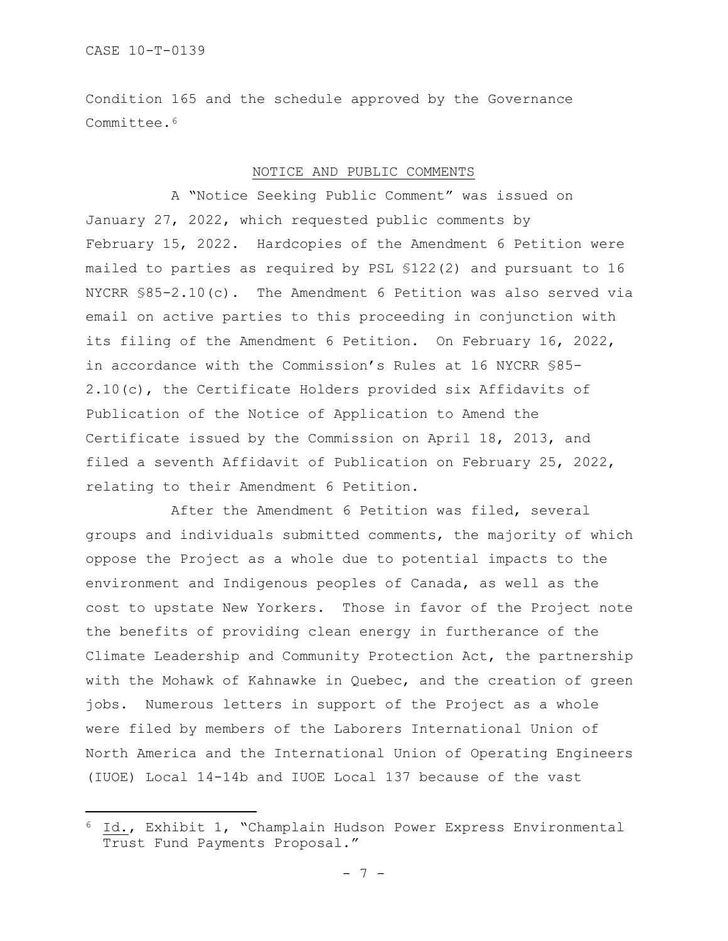Condition 165 and the schedule approved by the Governance Committee.<sup>[6](#page-6-0)</sup>

### NOTICE AND PUBLIC COMMENTS

A "Notice Seeking Public Comment" was issued on January 27, 2022, which requested public comments by February 15, 2022. Hardcopies of the Amendment 6 Petition were mailed to parties as required by PSL §122(2) and pursuant to 16 NYCRR §85-2.10(c). The Amendment 6 Petition was also served via email on active parties to this proceeding in conjunction with its filing of the Amendment 6 Petition. On February 16, 2022, in accordance with the Commission's Rules at 16 NYCRR §85- 2.10(c), the Certificate Holders provided six Affidavits of Publication of the Notice of Application to Amend the Certificate issued by the Commission on April 18, 2013, and filed a seventh Affidavit of Publication on February 25, 2022, relating to their Amendment 6 Petition.

After the Amendment 6 Petition was filed, several groups and individuals submitted comments, the majority of which oppose the Project as a whole due to potential impacts to the environment and Indigenous peoples of Canada, as well as the cost to upstate New Yorkers. Those in favor of the Project note the benefits of providing clean energy in furtherance of the Climate Leadership and Community Protection Act, the partnership with the Mohawk of Kahnawke in Quebec, and the creation of green jobs. Numerous letters in support of the Project as a whole were filed by members of the Laborers International Union of North America and the International Union of Operating Engineers (IUOE) Local 14-14b and IUOE Local 137 because of the vast

<span id="page-6-0"></span><sup>6</sup> Id., Exhibit 1, "Champlain Hudson Power Express Environmental Trust Fund Payments Proposal."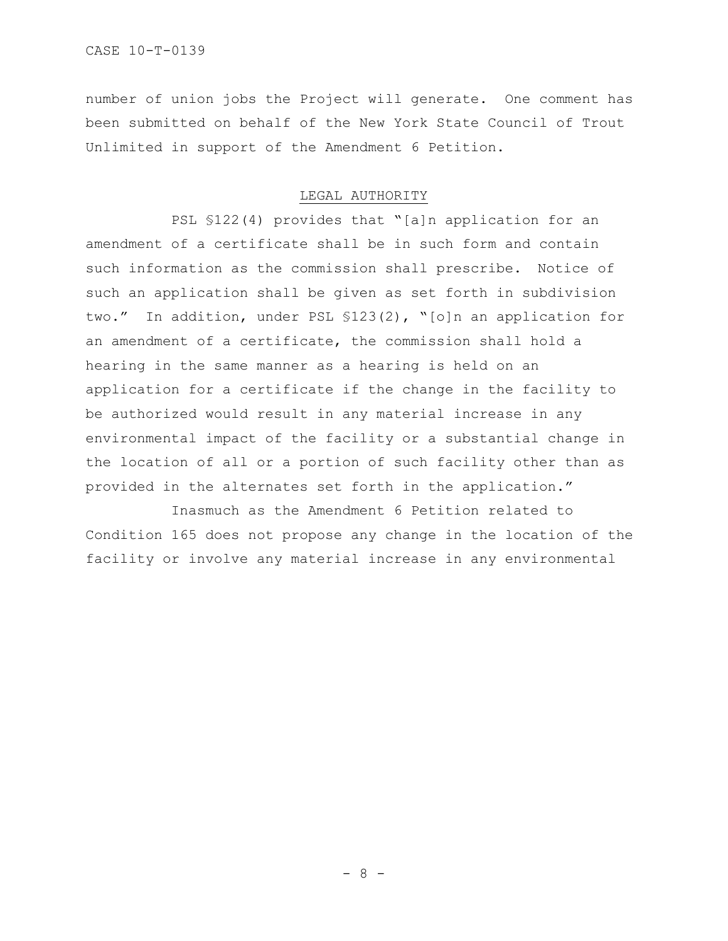number of union jobs the Project will generate. One comment has been submitted on behalf of the New York State Council of Trout Unlimited in support of the Amendment 6 Petition.

## LEGAL AUTHORITY

PSL §122(4) provides that "[a]n application for an amendment of a certificate shall be in such form and contain such information as the commission shall prescribe. Notice of such an application shall be given as set forth in subdivision two." In addition, under PSL §123(2), "[o]n an application for an amendment of a certificate, the commission shall hold a hearing in the same manner as a hearing is held on an application for a certificate if the change in the facility to be authorized would result in any material increase in any environmental impact of the facility or a substantial change in the location of all or a portion of such facility other than as provided in the alternates set forth in the application."

Inasmuch as the Amendment 6 Petition related to Condition 165 does not propose any change in the location of the facility or involve any material increase in any environmental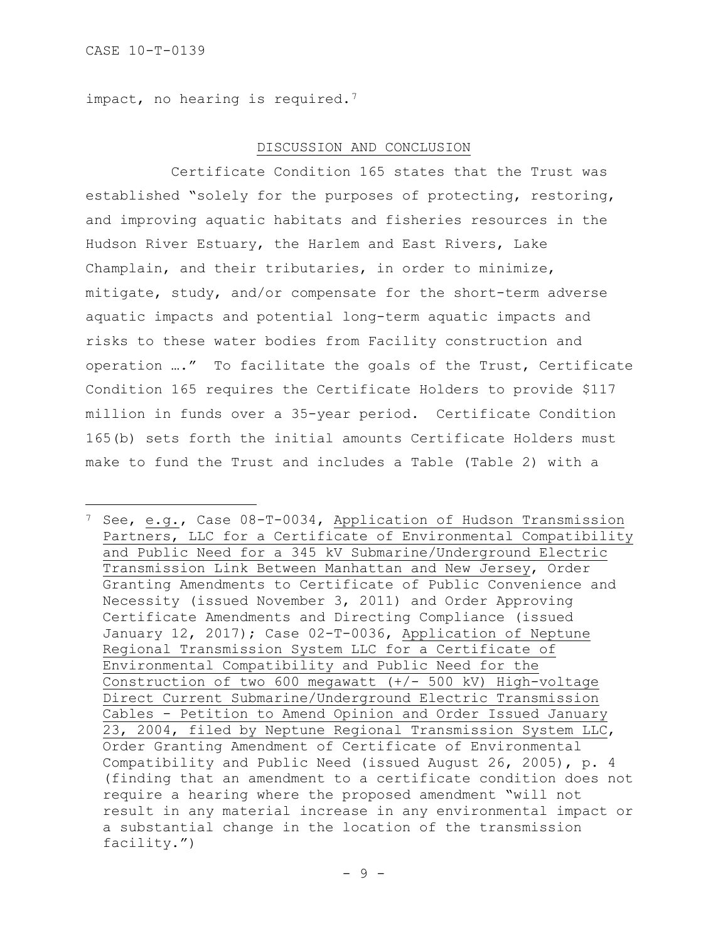impact, no hearing is required.<sup>7</sup>

### DISCUSSION AND CONCLUSION

Certificate Condition 165 states that the Trust was established "solely for the purposes of protecting, restoring, and improving aquatic habitats and fisheries resources in the Hudson River Estuary, the Harlem and East Rivers, Lake Champlain, and their tributaries, in order to minimize, mitigate, study, and/or compensate for the short-term adverse aquatic impacts and potential long-term aquatic impacts and risks to these water bodies from Facility construction and operation …." To facilitate the goals of the Trust, Certificate Condition 165 requires the Certificate Holders to provide \$117 million in funds over a 35-year period. Certificate Condition 165(b) sets forth the initial amounts Certificate Holders must make to fund the Trust and includes a Table (Table 2) with a

<span id="page-8-0"></span><sup>7</sup> See, e.g., Case 08-T-0034, Application of Hudson Transmission Partners, LLC for a Certificate of Environmental Compatibility and Public Need for a 345 kV Submarine/Underground Electric Transmission Link Between Manhattan and New Jersey, Order Granting Amendments to Certificate of Public Convenience and Necessity (issued November 3, 2011) and Order Approving Certificate Amendments and Directing Compliance (issued January 12, 2017); Case 02-T-0036, Application of Neptune Regional Transmission System LLC for a Certificate of Environmental Compatibility and Public Need for the Construction of two 600 megawatt  $(+/- 500$  kV) High-voltage Direct Current Submarine/Underground Electric Transmission Cables - Petition to Amend Opinion and Order Issued January 23, 2004, filed by Neptune Regional Transmission System LLC, Order Granting Amendment of Certificate of Environmental Compatibility and Public Need (issued August 26, 2005), p. 4 (finding that an amendment to a certificate condition does not require a hearing where the proposed amendment "will not result in any material increase in any environmental impact or a substantial change in the location of the transmission facility.")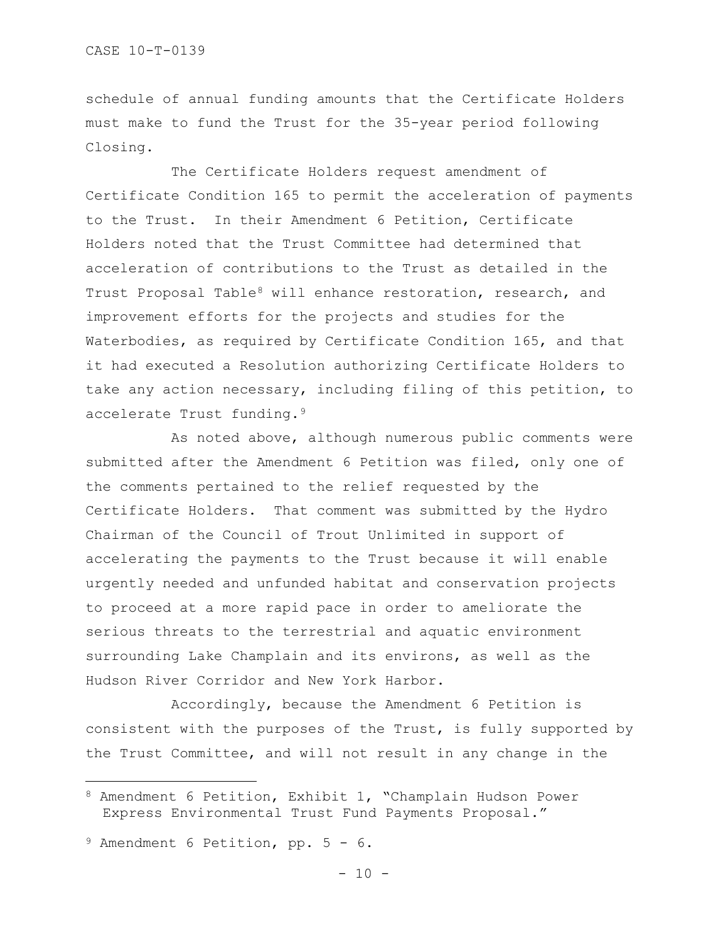schedule of annual funding amounts that the Certificate Holders must make to fund the Trust for the 35-year period following Closing.

The Certificate Holders request amendment of Certificate Condition 165 to permit the acceleration of payments to the Trust. In their Amendment 6 Petition, Certificate Holders noted that the Trust Committee had determined that acceleration of contributions to the Trust as detailed in the Trust Proposal Table<sup>[8](#page-9-0)</sup> will enhance restoration, research, and improvement efforts for the projects and studies for the Waterbodies, as required by Certificate Condition 165, and that it had executed a Resolution authorizing Certificate Holders to take any action necessary, including filing of this petition, to accelerate Trust funding[.9](#page-9-1)

As noted above, although numerous public comments were submitted after the Amendment 6 Petition was filed, only one of the comments pertained to the relief requested by the Certificate Holders. That comment was submitted by the Hydro Chairman of the Council of Trout Unlimited in support of accelerating the payments to the Trust because it will enable urgently needed and unfunded habitat and conservation projects to proceed at a more rapid pace in order to ameliorate the serious threats to the terrestrial and aquatic environment surrounding Lake Champlain and its environs, as well as the Hudson River Corridor and New York Harbor.

Accordingly, because the Amendment 6 Petition is consistent with the purposes of the Trust, is fully supported by the Trust Committee, and will not result in any change in the

<span id="page-9-0"></span><sup>8</sup> Amendment 6 Petition, Exhibit 1, "Champlain Hudson Power Express Environmental Trust Fund Payments Proposal."

<span id="page-9-1"></span><sup>9</sup> Amendment 6 Petition, pp. 5 - 6.